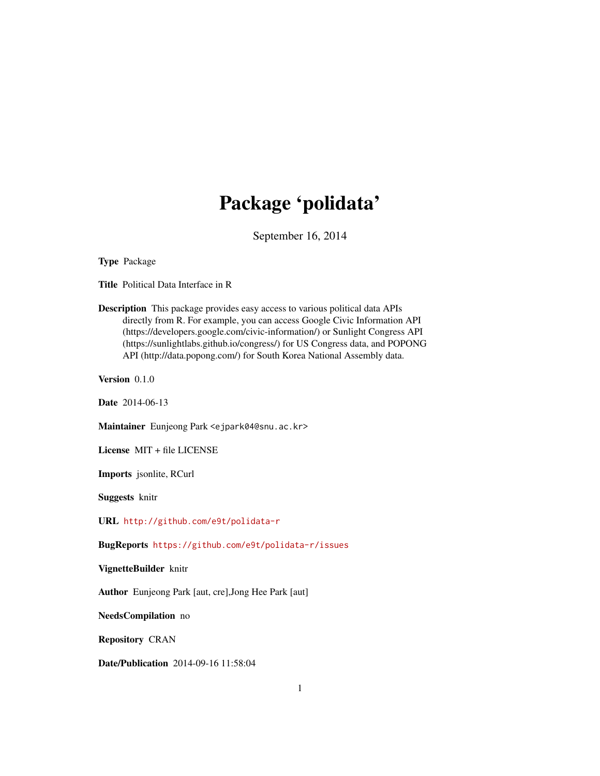# Package 'polidata'

September 16, 2014

Type Package

Title Political Data Interface in R

Description This package provides easy access to various political data APIs directly from R. For example, you can access Google Civic Information API (https://developers.google.com/civic-information/) or Sunlight Congress API (https://sunlightlabs.github.io/congress/) for US Congress data, and POPONG API (http://data.popong.com/) for South Korea National Assembly data.

Version 0.1.0

Date 2014-06-13

Maintainer Eunjeong Park <ejpark04@snu.ac.kr>

License MIT + file LICENSE

Imports jsonlite, RCurl

Suggests knitr

URL <http://github.com/e9t/polidata-r>

BugReports <https://github.com/e9t/polidata-r/issues>

VignetteBuilder knitr

Author Eunjeong Park [aut, cre],Jong Hee Park [aut]

NeedsCompilation no

Repository CRAN

Date/Publication 2014-09-16 11:58:04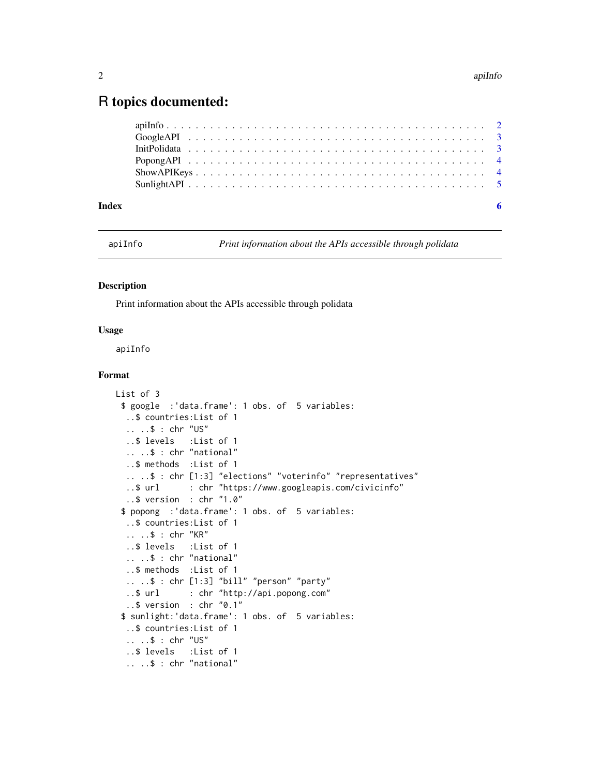# <span id="page-1-0"></span>R topics documented:

| $\overline{\phantom{a}}$ 6 |  |
|----------------------------|--|

#### **Index**

apiInfo

Print information about the APIs accessible through polidata

#### **Description**

Print information about the APIs accessible through polidata

#### **Usage**

apiInfo

#### Format

```
List of 3
 $ google : 'data.frame': 1 obs. of 5 variables:
  ..$ countries: List of 1
  \ldots \ldots$ : chr "US"
  ..$ levels
               :List of 1
  \ldots \ldots $ : chr "national"
  ..$ methods : List of 1
  ....$ : chr [1:3] "elections" "voterinfo" "representatives"
  ..$ url
             : chr "https://www.googleapis.com/civicinfo"
  .. $ version : chr "1.0"$ popong : 'data.frame': 1 obs. of 5 variables:
  ..$ countries: List of 1
  .. ..$ : chr "KR"
  ..$ levels : List of 1
  \ldots \ldots$ : chr "national"
  ..$ methods : List of 1
  .. ..$ : chr [1:3] "bill" "person" "party"
               : chr "http://api.popong.com"
  .5 url
  ..$ version : chr "0.1"
 $ sunlight: 'data.frame': 1 obs. of 5 variables:
  ..$ countries: List of 1
  .. ..$ : chr "US"
  ..$ levels : List of 1
  \ldots \ldots $ : chr "national"
```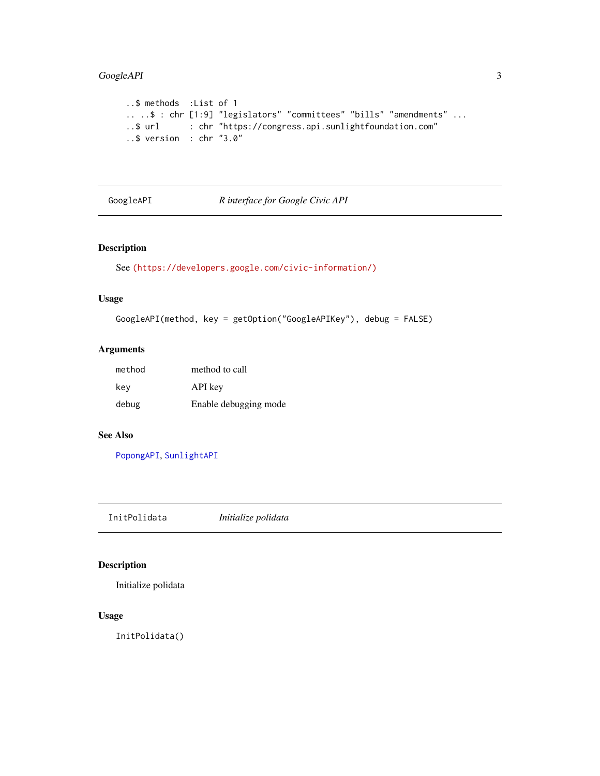# <span id="page-2-0"></span>GoogleAPI 3

```
..$ methods :List of 1
.. ..$ : chr [1:9] "legislators" "committees" "bills" "amendments" ...
..$ url : chr "https://congress.api.sunlightfoundation.com"
..$ version : chr "3.0"
```
# <span id="page-2-1"></span>GoogleAPI *R interface for Google Civic API*

## Description

```
See (https://developers.google.com/civic-information/)
```
# Usage

```
GoogleAPI(method, key = getOption("GoogleAPIKey"), debug = FALSE)
```
#### Arguments

| method | method to call        |
|--------|-----------------------|
| kev    | API key               |
| debug  | Enable debugging mode |

#### See Also

[PopongAPI](#page-3-1), [SunlightAPI](#page-4-1)

InitPolidata *Initialize polidata*

#### Description

Initialize polidata

#### Usage

InitPolidata()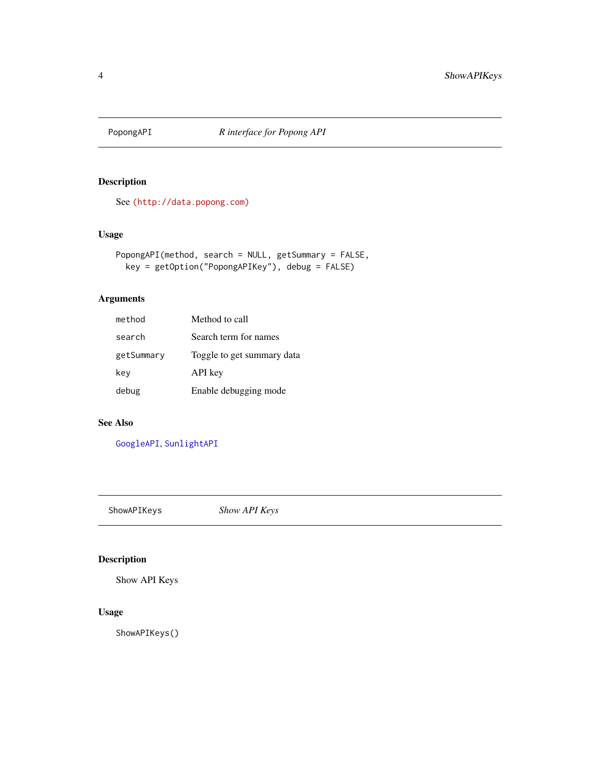<span id="page-3-1"></span><span id="page-3-0"></span>

#### Description

See [\(http://data.popong.com\)]((http://data.popong.com))

# Usage

```
PopongAPI(method, search = NULL, getSummary = FALSE,
 key = getOption("PopongAPIKey"), debug = FALSE)
```
# Arguments

| method     | Method to call             |
|------------|----------------------------|
| search     | Search term for names      |
| getSummary | Toggle to get summary data |
| key        | API key                    |
| debug      | Enable debugging mode      |

## See Also

[GoogleAPI](#page-2-1), [SunlightAPI](#page-4-1)

ShowAPIKeys *Show API Keys*

#### Description

Show API Keys

#### Usage

ShowAPIKeys()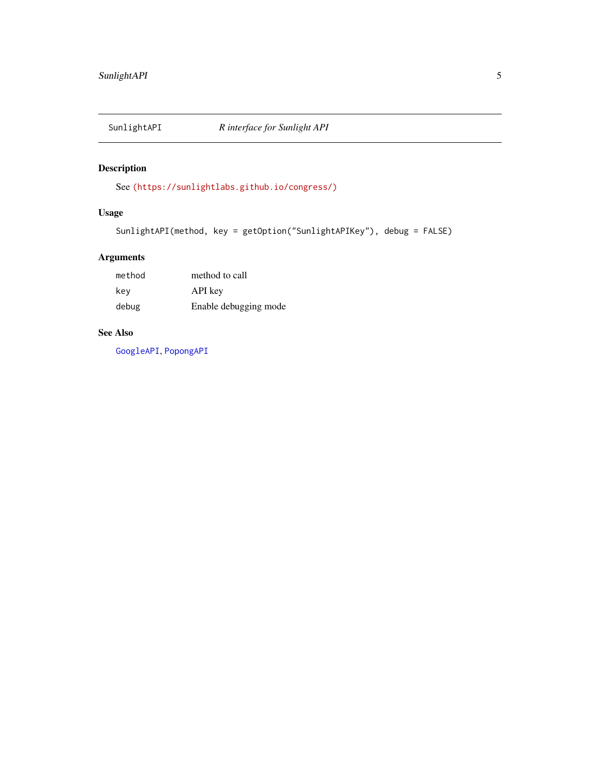<span id="page-4-1"></span><span id="page-4-0"></span>

# Description

See [\(https://sunlightlabs.github.io/congress/\)]((https://sunlightlabs.github.io/congress/))

# Usage

```
SunlightAPI(method, key = getOption("SunlightAPIKey"), debug = FALSE)
```
# Arguments

| method | method to call        |
|--------|-----------------------|
| kev    | API key               |
| debug  | Enable debugging mode |

#### See Also

[GoogleAPI](#page-2-1), [PopongAPI](#page-3-1)